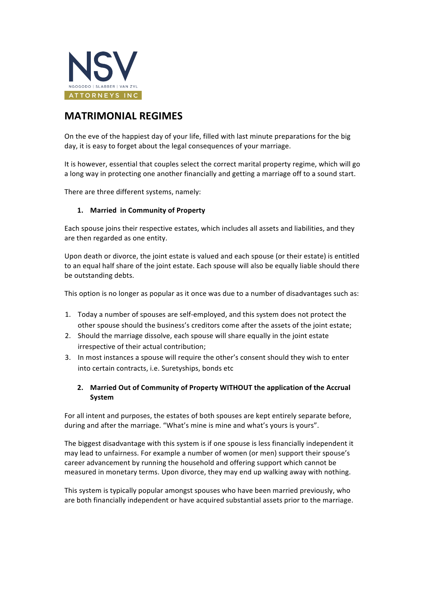

## **MATRIMONIAL REGIMES**

On the eve of the happiest day of your life, filled with last minute preparations for the big day, it is easy to forget about the legal consequences of your marriage.

It is however, essential that couples select the correct marital property regime, which will go a long way in protecting one another financially and getting a marriage off to a sound start.

There are three different systems, namely:

## 1. **Married in Community of Property**

Each spouse joins their respective estates, which includes all assets and liabilities, and they are then regarded as one entity.

Upon death or divorce, the joint estate is valued and each spouse (or their estate) is entitled to an equal half share of the joint estate. Each spouse will also be equally liable should there be outstanding debts.

This option is no longer as popular as it once was due to a number of disadvantages such as:

- 1. Today a number of spouses are self-employed, and this system does not protect the other spouse should the business's creditors come after the assets of the joint estate;
- 2. Should the marriage dissolve, each spouse will share equally in the joint estate irrespective of their actual contribution;
- 3. In most instances a spouse will require the other's consent should they wish to enter into certain contracts, i.e. Suretyships, bonds etc

## 2. Married Out of Community of Property WITHOUT the application of the Accrual **System**

For all intent and purposes, the estates of both spouses are kept entirely separate before, during and after the marriage. "What's mine is mine and what's yours is yours".

The biggest disadvantage with this system is if one spouse is less financially independent it may lead to unfairness. For example a number of women (or men) support their spouse's career advancement by running the household and offering support which cannot be measured in monetary terms. Upon divorce, they may end up walking away with nothing.

This system is typically popular amongst spouses who have been married previously, who are both financially independent or have acquired substantial assets prior to the marriage.